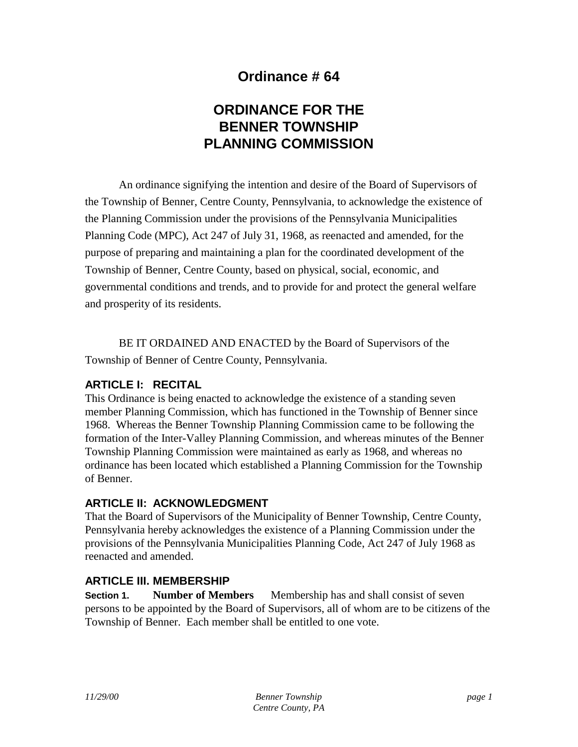# **Ordinance # 64**

# **ORDINANCE FOR THE BENNER TOWNSHIP PLANNING COMMISSION**

An ordinance signifying the intention and desire of the Board of Supervisors of the Township of Benner, Centre County, Pennsylvania, to acknowledge the existence of the Planning Commission under the provisions of the Pennsylvania Municipalities Planning Code (MPC), Act 247 of July 31, 1968, as reenacted and amended, for the purpose of preparing and maintaining a plan for the coordinated development of the Township of Benner, Centre County, based on physical, social, economic, and governmental conditions and trends, and to provide for and protect the general welfare and prosperity of its residents.

BE IT ORDAINED AND ENACTED by the Board of Supervisors of the Township of Benner of Centre County, Pennsylvania.

### **ARTICLE I: RECITAL**

This Ordinance is being enacted to acknowledge the existence of a standing seven member Planning Commission, which has functioned in the Township of Benner since 1968. Whereas the Benner Township Planning Commission came to be following the formation of the Inter-Valley Planning Commission, and whereas minutes of the Benner Township Planning Commission were maintained as early as 1968, and whereas no ordinance has been located which established a Planning Commission for the Township of Benner.

#### **ARTICLE II: ACKNOWLEDGMENT**

That the Board of Supervisors of the Municipality of Benner Township, Centre County, Pennsylvania hereby acknowledges the existence of a Planning Commission under the provisions of the Pennsylvania Municipalities Planning Code, Act 247 of July 1968 as reenacted and amended.

#### **ARTICLE III. MEMBERSHIP**

**Section 1. Number of Members** — Membership has and shall consist of seven persons to be appointed by the Board of Supervisors, all of whom are to be citizens of the Township of Benner. Each member shall be entitled to one vote.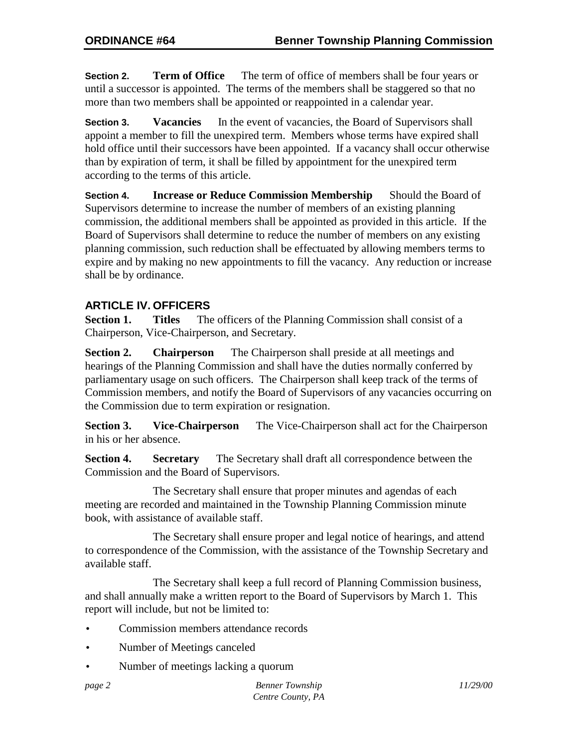**Section 2. Term of Office** — The term of office of members shall be four years or until a successor is appointed. The terms of the members shall be staggered so that no more than two members shall be appointed or reappointed in a calendar year.

**Section 3. Vacancies** — In the event of vacancies, the Board of Supervisors shall appoint a member to fill the unexpired term. Members whose terms have expired shall hold office until their successors have been appointed. If a vacancy shall occur otherwise than by expiration of term, it shall be filled by appointment for the unexpired term according to the terms of this article.

**Section 4. Increase or Reduce Commission Membership** — Should the Board of Supervisors determine to increase the number of members of an existing planning commission, the additional members shall be appointed as provided in this article. If the Board of Supervisors shall determine to reduce the number of members on any existing planning commission, such reduction shall be effectuated by allowing members terms to expire and by making no new appointments to fill the vacancy. Any reduction or increase shall be by ordinance.

### **ARTICLE IV. OFFICERS**

**Section 1.** Titles — The officers of the Planning Commission shall consist of a Chairperson, Vice-Chairperson, and Secretary.

**Section 2.** Chairperson — The Chairperson shall preside at all meetings and hearings of the Planning Commission and shall have the duties normally conferred by parliamentary usage on such officers. The Chairperson shall keep track of the terms of Commission members, and notify the Board of Supervisors of any vacancies occurring on the Commission due to term expiration or resignation.

**Section 3.** Vice-Chairperson — The Vice-Chairperson shall act for the Chairperson in his or her absence.

**Section 4.** Secretary — The Secretary shall draft all correspondence between the Commission and the Board of Supervisors.

The Secretary shall ensure that proper minutes and agendas of each meeting are recorded and maintained in the Township Planning Commission minute book, with assistance of available staff.

The Secretary shall ensure proper and legal notice of hearings, and attend to correspondence of the Commission, with the assistance of the Township Secretary and available staff.

The Secretary shall keep a full record of Planning Commission business, and shall annually make a written report to the Board of Supervisors by March 1. This report will include, but not be limited to:

- Commission members attendance records
- Number of Meetings canceled
- Number of meetings lacking a quorum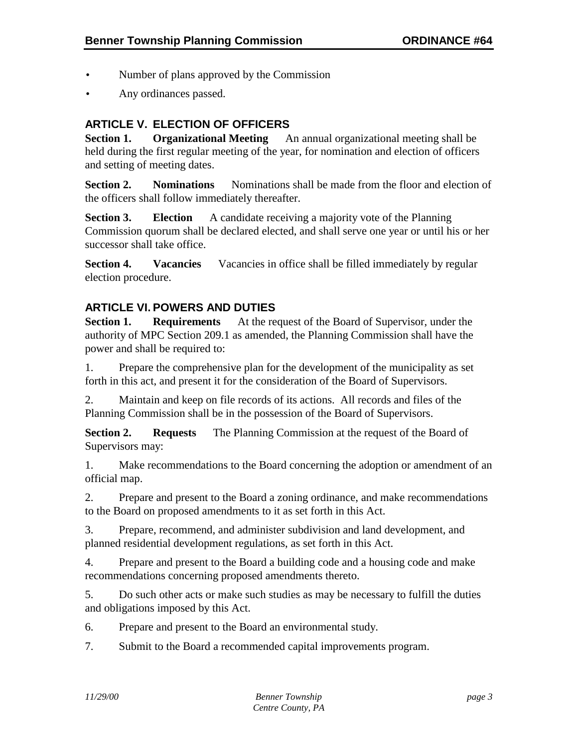- Number of plans approved by the Commission
- Any ordinances passed.

# **ARTICLE V. ELECTION OF OFFICERS**

**Section 1.** Organizational Meeting — An annual organizational meeting shall be held during the first regular meeting of the year, for nomination and election of officers and setting of meeting dates.

**Section 2.** Nominations — Nominations shall be made from the floor and election of the officers shall follow immediately thereafter.

**Section 3.** Election — A candidate receiving a majority vote of the Planning Commission quorum shall be declared elected, and shall serve one year or until his or her successor shall take office.

**Section 4.** Vacancies — Vacancies in office shall be filled immediately by regular election procedure.

## **ARTICLE VI. POWERS AND DUTIES**

**Section 1.** Requirements — At the request of the Board of Supervisor, under the authority of MPC Section 209.1 as amended, the Planning Commission shall have the power and shall be required to:

1. Prepare the comprehensive plan for the development of the municipality as set forth in this act, and present it for the consideration of the Board of Supervisors.

2. Maintain and keep on file records of its actions. All records and files of the Planning Commission shall be in the possession of the Board of Supervisors.

**Section 2.** Requests — The Planning Commission at the request of the Board of Supervisors may:

1. Make recommendations to the Board concerning the adoption or amendment of an official map.

2. Prepare and present to the Board a zoning ordinance, and make recommendations to the Board on proposed amendments to it as set forth in this Act.

3. Prepare, recommend, and administer subdivision and land development, and planned residential development regulations, as set forth in this Act.

4. Prepare and present to the Board a building code and a housing code and make recommendations concerning proposed amendments thereto.

5. Do such other acts or make such studies as may be necessary to fulfill the duties and obligations imposed by this Act.

6. Prepare and present to the Board an environmental study.

7. Submit to the Board a recommended capital improvements program.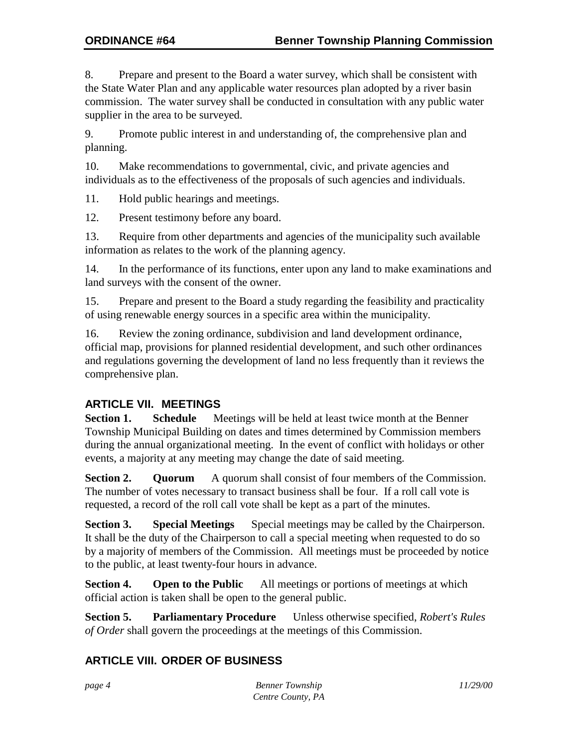8. Prepare and present to the Board a water survey, which shall be consistent with the State Water Plan and any applicable water resources plan adopted by a river basin commission. The water survey shall be conducted in consultation with any public water supplier in the area to be surveyed.

9. Promote public interest in and understanding of, the comprehensive plan and planning.

10. Make recommendations to governmental, civic, and private agencies and individuals as to the effectiveness of the proposals of such agencies and individuals.

11. Hold public hearings and meetings.

12. Present testimony before any board.

13. Require from other departments and agencies of the municipality such available information as relates to the work of the planning agency.

14. In the performance of its functions, enter upon any land to make examinations and land surveys with the consent of the owner.

15. Prepare and present to the Board a study regarding the feasibility and practicality of using renewable energy sources in a specific area within the municipality.

16. Review the zoning ordinance, subdivision and land development ordinance, official map, provisions for planned residential development, and such other ordinances and regulations governing the development of land no less frequently than it reviews the comprehensive plan.

## **ARTICLE VII. MEETINGS**

**Section 1.** Schedule — Meetings will be held at least twice month at the Benner Township Municipal Building on dates and times determined by Commission members during the annual organizational meeting. In the event of conflict with holidays or other events, a majority at any meeting may change the date of said meeting.

**Section 2. Quorum** — A quorum shall consist of four members of the Commission. The number of votes necessary to transact business shall be four. If a roll call vote is requested, a record of the roll call vote shall be kept as a part of the minutes.

**Section 3.** Special Meetings — Special meetings may be called by the Chairperson. It shall be the duty of the Chairperson to call a special meeting when requested to do so by a majority of members of the Commission. All meetings must be proceeded by notice to the public, at least twenty-four hours in advance.

**Section 4.** Open to the Public — All meetings or portions of meetings at which official action is taken shall be open to the general public.

**Section 5. Parliamentary Procedure** — Unless otherwise specified, *Robert's Rules of Order* shall govern the proceedings at the meetings of this Commission.

### **ARTICLE VIII. ORDER OF BUSINESS**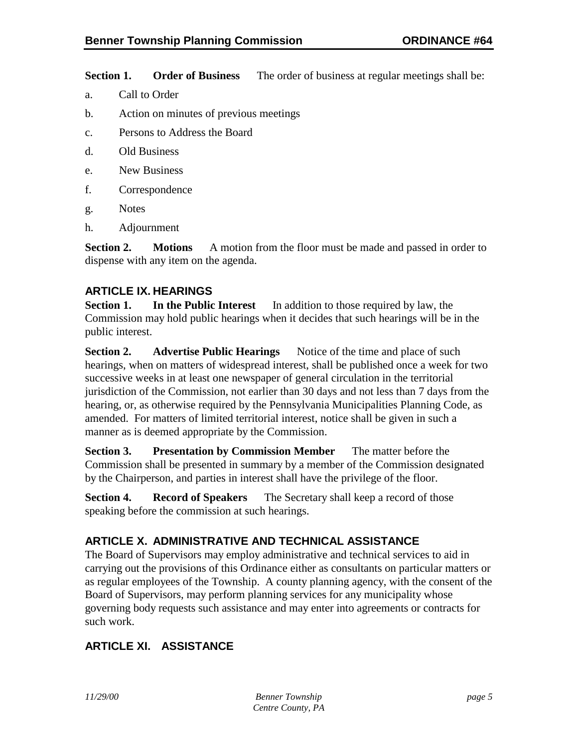**Section 1.** Order of Business — The order of business at regular meetings shall be:

- a. Call to Order
- b. Action on minutes of previous meetings
- c. Persons to Address the Board
- d. Old Business
- e. New Business
- f. Correspondence
- g. Notes
- h. Adjournment

**Section 2.** Motions — A motion from the floor must be made and passed in order to dispense with any item on the agenda.

### **ARTICLE IX. HEARINGS**

**Section 1.** In the Public Interest — In addition to those required by law, the Commission may hold public hearings when it decides that such hearings will be in the public interest.

**Section 2.** Advertise Public Hearings — Notice of the time and place of such hearings, when on matters of widespread interest, shall be published once a week for two successive weeks in at least one newspaper of general circulation in the territorial jurisdiction of the Commission, not earlier than 30 days and not less than 7 days from the hearing, or, as otherwise required by the Pennsylvania Municipalities Planning Code, as amended. For matters of limited territorial interest, notice shall be given in such a manner as is deemed appropriate by the Commission.

**Section 3.** Presentation by Commission Member — The matter before the Commission shall be presented in summary by a member of the Commission designated by the Chairperson, and parties in interest shall have the privilege of the floor.

**Section 4.** Record of Speakers — The Secretary shall keep a record of those speaking before the commission at such hearings.

### **ARTICLE X. ADMINISTRATIVE AND TECHNICAL ASSISTANCE**

The Board of Supervisors may employ administrative and technical services to aid in carrying out the provisions of this Ordinance either as consultants on particular matters or as regular employees of the Township. A county planning agency, with the consent of the Board of Supervisors, may perform planning services for any municipality whose governing body requests such assistance and may enter into agreements or contracts for such work.

# **ARTICLE XI. ASSISTANCE**